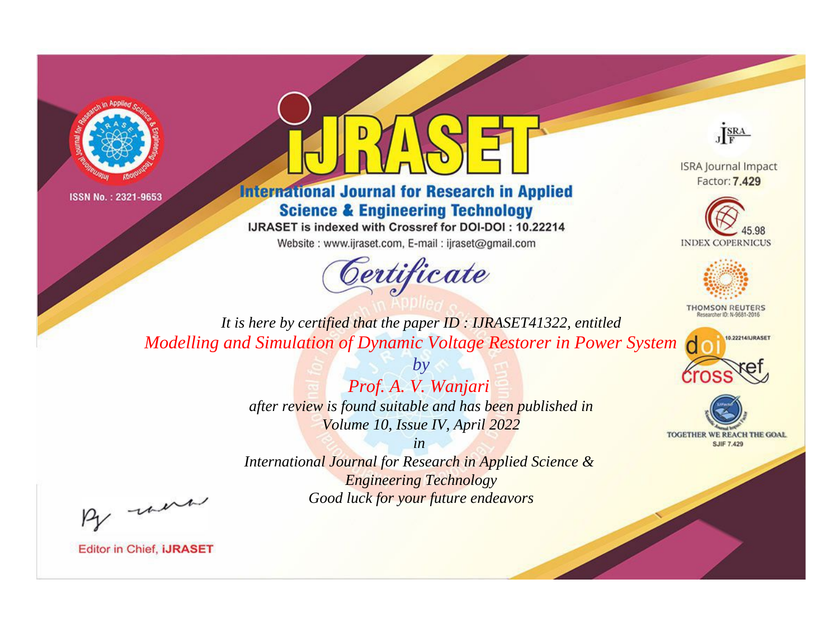



## **International Journal for Research in Applied Science & Engineering Technology**

IJRASET is indexed with Crossref for DOI-DOI: 10.22214

Website: www.ijraset.com, E-mail: ijraset@gmail.com



JERA

**ISRA Journal Impact** Factor: 7.429





**THOMSON REUTERS** 



TOGETHER WE REACH THE GOAL **SJIF 7.429** 

*It is here by certified that the paper ID : IJRASET41322, entitled Modelling and Simulation of Dynamic Voltage Restorer in Power System*

> *Prof. A. V. Wanjari after review is found suitable and has been published in Volume 10, Issue IV, April 2022*

*by*

*in* 

*International Journal for Research in Applied Science & Engineering Technology Good luck for your future endeavors*

By morn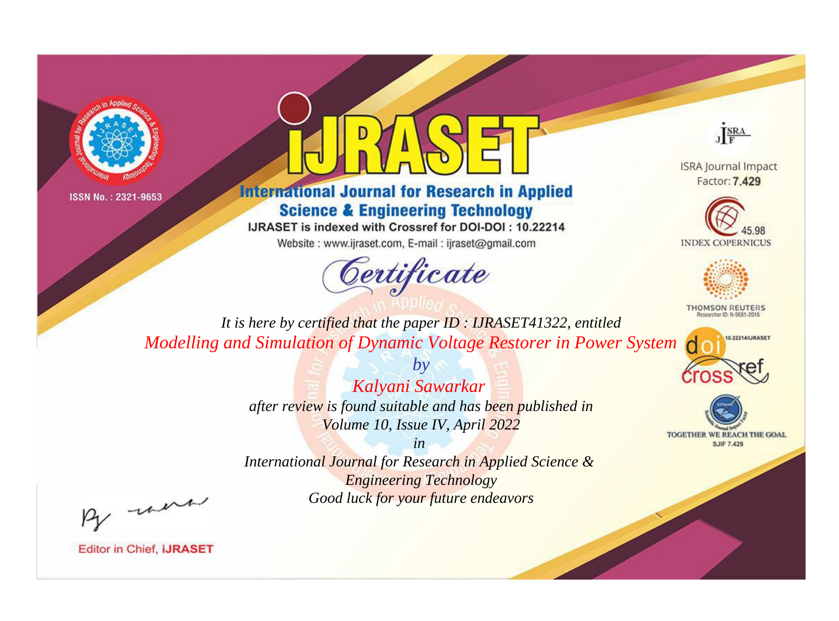



## **International Journal for Research in Applied Science & Engineering Technology**

IJRASET is indexed with Crossref for DOI-DOI: 10.22214

Website: www.ijraset.com, E-mail: ijraset@gmail.com



JERA

**ISRA Journal Impact** Factor: 7.429





**THOMSON REUTERS** 



TOGETHER WE REACH THE GOAL **SJIF 7.429** 

*It is here by certified that the paper ID : IJRASET41322, entitled Modelling and Simulation of Dynamic Voltage Restorer in Power System*

> *Kalyani Sawarkar after review is found suitable and has been published in Volume 10, Issue IV, April 2022*

*by*

*in* 

*International Journal for Research in Applied Science & Engineering Technology Good luck for your future endeavors*

By morn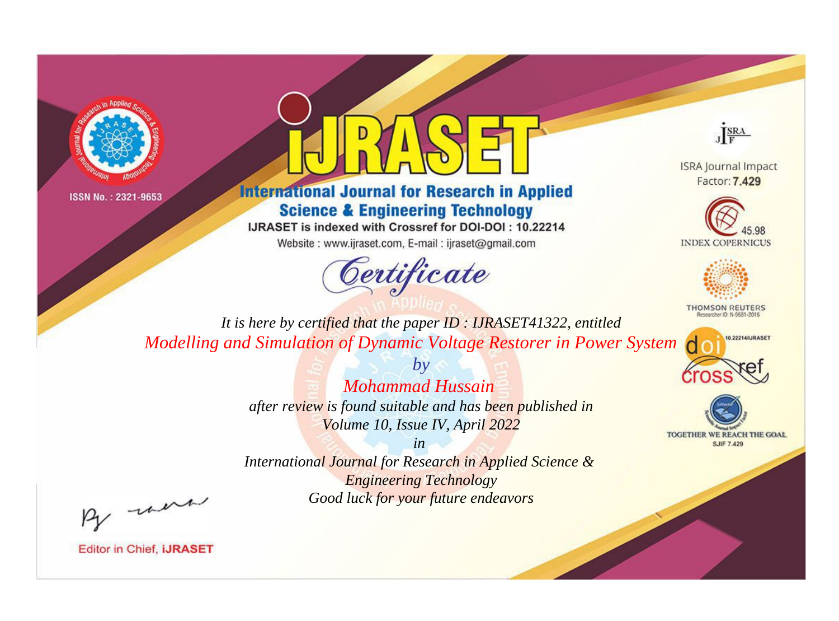



## **International Journal for Research in Applied Science & Engineering Technology**

IJRASET is indexed with Crossref for DOI-DOI: 10.22214

Website: www.ijraset.com, E-mail: ijraset@gmail.com



JERA

**ISRA Journal Impact** Factor: 7.429





**THOMSON REUTERS** 



TOGETHER WE REACH THE GOAL **SJIF 7.429** 

*It is here by certified that the paper ID : IJRASET41322, entitled Modelling and Simulation of Dynamic Voltage Restorer in Power System*

> *Mohammad Hussain after review is found suitable and has been published in Volume 10, Issue IV, April 2022*

*by*

*in* 

*International Journal for Research in Applied Science & Engineering Technology Good luck for your future endeavors*

By morn